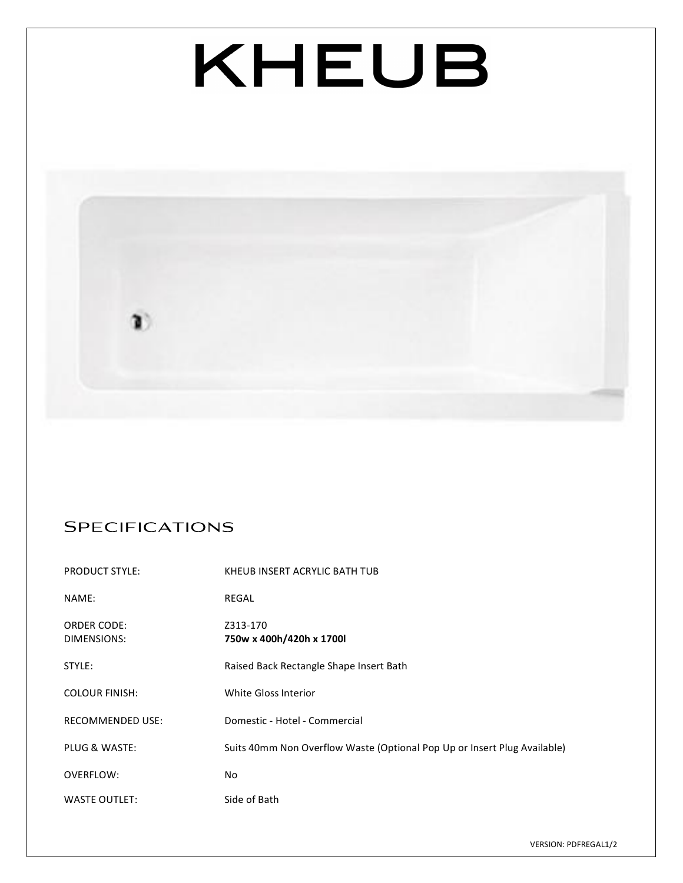# KHEUB



## **SPECIFICATIONS**

| <b>PRODUCT STYLE:</b>             | KHEUB INSERT ACRYLIC BATH TUB                                            |
|-----------------------------------|--------------------------------------------------------------------------|
| NAME:                             | REGAL                                                                    |
| <b>ORDER CODE:</b><br>DIMENSIONS: | Z313-170<br>750w x 400h/420h x 1700l                                     |
| STYLE:                            | Raised Back Rectangle Shape Insert Bath                                  |
| <b>COLOUR FINISH:</b>             | White Gloss Interior                                                     |
| <b>RECOMMENDED USE:</b>           | Domestic - Hotel - Commercial                                            |
| PLUG & WASTE:                     | Suits 40mm Non Overflow Waste (Optional Pop Up or Insert Plug Available) |
| OVERFLOW:                         | No                                                                       |
| <b>WASTE OUTLET:</b>              | Side of Bath                                                             |

VERSION: PDFREGAL1/2